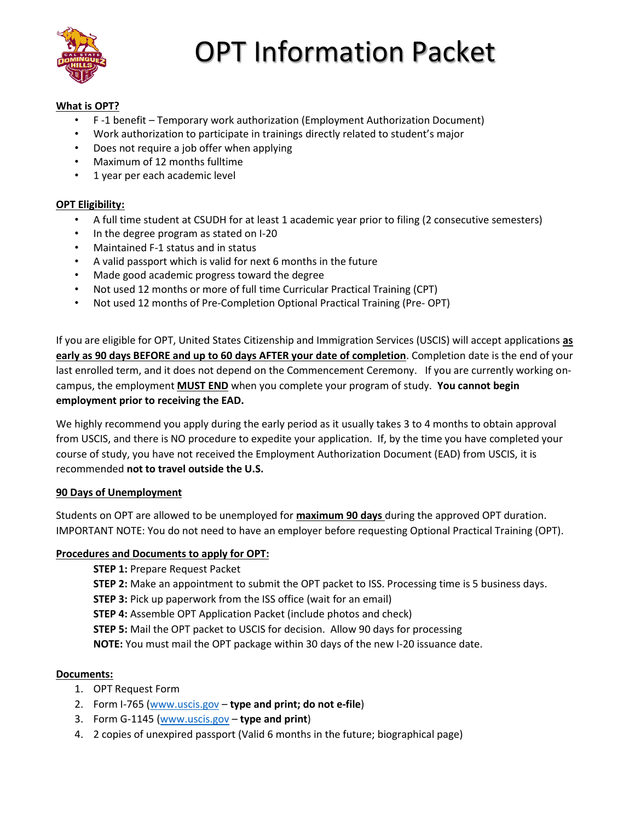

# OPT Information Packet

## **What is OPT?**

- F -1 benefit Temporary work authorization (Employment Authorization Document)
- Work authorization to participate in trainings directly related to student's major
- Does not require a job offer when applying
- Maximum of 12 months fulltime
- 1 year per each academic level

#### **OPT Eligibility:**

- A full time student at CSUDH for at least 1 academic year prior to filing (2 consecutive semesters)
- In the degree program as stated on I-20
- Maintained F-1 status and in status
- A valid passport which is valid for next 6 months in the future
- Made good academic progress toward the degree
- Not used 12 months or more of full time Curricular Practical Training (CPT)
- Not used 12 months of Pre-Completion Optional Practical Training (Pre- OPT)

If you are eligible for OPT, United States Citizenship and Immigration Services (USCIS) will accept applications **as early as 90 days BEFORE and up to 60 days AFTER your date of completion**. Completion date is the end of your last enrolled term, and it does not depend on the Commencement Ceremony. If you are currently working oncampus, the employment **MUST END** when you complete your program of study. **You cannot begin employment prior to receiving the EAD.**

We highly recommend you apply during the early period as it usually takes 3 to 4 months to obtain approval from USCIS, and there is NO procedure to expedite your application. If, by the time you have completed your course of study, you have not received the Employment Authorization Document (EAD) from USCIS, it is recommended **not to travel outside the U.S.** 

## **90 Days of Unemployment**

Students on OPT are allowed to be unemployed for **maximum 90 days** during the approved OPT duration. IMPORTANT NOTE: You do not need to have an employer before requesting Optional Practical Training (OPT).

## **Procedures and Documents to apply for OPT:**

**STEP 1:** Prepare Request Packet

**STEP 2:** Make an appointment to submit the OPT packet to ISS. Processing time is 5 business days.

**STEP 3:** Pick up paperwork from the ISS office (wait for an email)

**STEP 4:** Assemble OPT Application Packet (include photos and check)

**STEP 5:** Mail the OPT packet to USCIS for decision. Allow 90 days for processing

**NOTE:** You must mail the OPT package within 30 days of the new I-20 issuance date.

## **Documents:**

- 1. OPT Request Form
- 2. Form I-765 [\(www.uscis.gov](http://www.uscis.gov/) **type and print; do not e-file**)
- 3. Form G-1145 [\(www.uscis.gov](http://www.uscis.gov/) **type and print**)
- 4. 2 copies of unexpired passport (Valid 6 months in the future; biographical page)